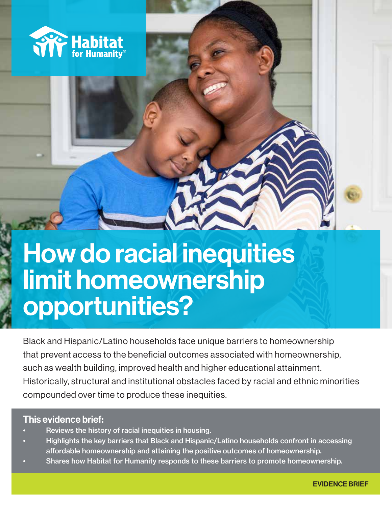

# How do racial inequities limit homeownership opportunities?

Black and Hispanic/Latino households face unique barriers to homeownership that prevent access to the beneficial outcomes associated with homeownership, such as wealth building, improved health and higher educational attainment. Historically, structural and institutional obstacles faced by racial and ethnic minorities compounded over time to produce these inequities.

### This evidence brief:

- Reviews the history of racial inequities in housing.
- Highlights the key barriers that Black and Hispanic/Latino households confront in accessing affordable homeownership and attaining the positive outcomes of homeownership.
- Shares how Habitat for Humanity responds to these barriers to promote homeownership.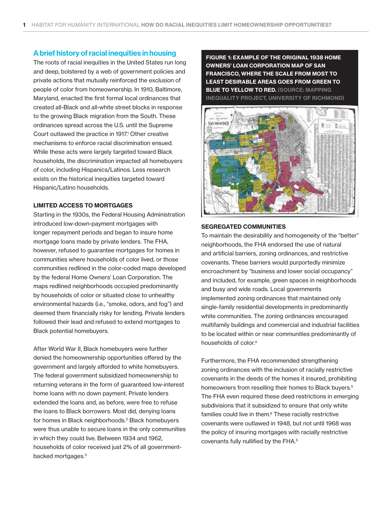### A brief history of racial inequities in housing

The roots of racial inequities in the United States run long and deep, bolstered by a web of government policies and private actions that mutually reinforced the exclusion of people of color from homeownership. In 1910, Baltimore, Maryland, enacted the first formal local ordinances that created all-Black and all-white street blocks in response to the growing Black migration from the South. These ordinances spread across the U.S. until the Supreme Court outlawed the practice in 1917.<sup>1</sup> Other creative mechanisms to enforce racial discrimination ensued. While these acts were largely targeted toward Black households, the discrimination impacted all homebuyers of color, including Hispanics/Latinos. Less research exists on the historical inequities targeted toward Hispanic/Latino households.

#### LIMITED ACCESS TO MORTGAGES

Starting in the 1930s, the Federal Housing Administration introduced low-down-payment mortgages with longer repayment periods and began to insure home mortgage loans made by private lenders. The FHA, however, refused to guarantee mortgages for homes in communities where households of color lived, or those communities redlined in the color-coded maps developed by the federal Home Owners' Loan Corporation. The maps redlined neighborhoods occupied predominantly by households of color or situated close to unhealthy environmental hazards (i.e., "smoke, odors, and fog") and deemed them financially risky for lending. Private lenders followed their lead and refused to extend mortgages to Black potential homebuyers.

After World War II, Black homebuyers were further denied the homeownership opportunities offered by the government and largely afforded to white homebuyers. The federal government subsidized homeownership to returning veterans in the form of guaranteed low-interest home loans with no down payment. Private lenders extended the loans and, as before, were free to refuse the loans to Black borrowers. Most did, denying loans for homes in Black neighborhoods.<sup>2</sup> Black homebuyers were thus unable to secure loans in the only communities in which they could live. Between 1934 and 1962, households of color received just 2% of all governmentbacked mortgages.3

FIGURE 1: EXAMPLE OF THE ORIGINAL 1938 HOME OWNERS' LOAN CORPORATION MAP OF SAN FRANCISCO, WHERE THE SCALE FROM MOST TO LEAST DESIRABLE AREAS GOES FROM GREEN TO **BLUE TO YELLOW TO RED.** (SOURCE: MAPPING INEQUALITY PROJECT, UNIVERSITY OF RICHMOND)



#### SEGREGATED COMMUNITIES

To maintain the desirability and homogeneity of the "better" neighborhoods, the FHA endorsed the use of natural and artificial barriers, zoning ordinances, and restrictive covenants. These barriers would purportedly minimize encroachment by "business and lower social occupancy" and included, for example, green spaces in neighborhoods and busy and wide roads. Local governments implemented zoning ordinances that maintained only single-family residential developments in predominantly white communities. The zoning ordinances encouraged multifamily buildings and commercial and industrial facilities to be located within or near communities predominantly of households of color.4

Furthermore, the FHA recommended strengthening zoning ordinances with the inclusion of racially restrictive covenants in the deeds of the homes it insured, prohibiting homeowners from reselling their homes to Black buyers.<sup>5</sup> The FHA even required these deed restrictions in emerging subdivisions that it subsidized to ensure that only white families could live in them.<sup>6</sup> These racially restrictive covenants were outlawed in 1948, but not until 1968 was the policy of insuring mortgages with racially restrictive covenants fully nullified by the FHA.5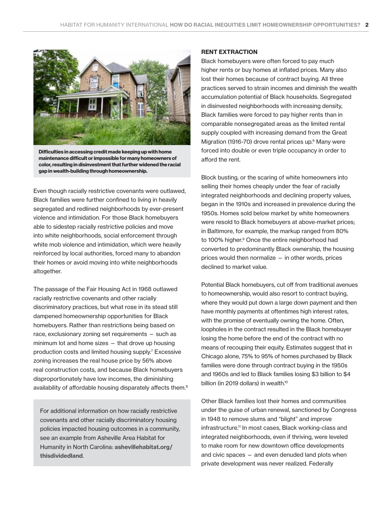

Difficulties in accessing credit made keeping up with home maintenance difficult or impossible for many homeowners of color, resulting in disinvestment that further widened the racial gap in wealth-building through homeownership.

Even though racially restrictive covenants were outlawed, Black families were further confined to living in heavily segregated and redlined neighborhoods by ever-present violence and intimidation. For those Black homebuyers able to sidestep racially restrictive policies and move into white neighborhoods, social enforcement through white mob violence and intimidation, which were heavily reinforced by local authorities, forced many to abandon their homes or avoid moving into white neighborhoods altogether.

The passage of the Fair Housing Act in 1968 outlawed racially restrictive covenants and other racially discriminatory practices, but what rose in its stead still dampened homeownership opportunities for Black homebuyers. Rather than restrictions being based on race, exclusionary zoning set requirements — such as minimum lot and home sizes — that drove up housing production costs and limited housing supply.7 Excessive zoning increases the real house price by 56% above real construction costs, and because Black homebuyers disproportionately have low incomes, the diminishing availability of affordable housing disparately affects them.<sup>8</sup>

For additional information on how racially restrictive covenants and other racially discriminatory housing policies impacted housing outcomes in a community, see an example from Asheville Area Habitat for Humanity in North Carolina: [ashevillehabitat.org/](http://ashevillehabitat.org/thisdividedland) [thisdividedland](http://ashevillehabitat.org/thisdividedland).

#### RENT EXTRACTION

Black homebuyers were often forced to pay much higher rents or buy homes at inflated prices. Many also lost their homes because of contract buying. All three practices served to strain incomes and diminish the wealth accumulation potential of Black households. Segregated in disinvested neighborhoods with increasing density, Black families were forced to pay higher rents than in comparable nonsegregated areas as the limited rental supply coupled with increasing demand from the Great Migration (1916-70) drove rental prices up.<sup>6</sup> Many were forced into double or even triple occupancy in order to afford the rent.

Block busting, or the scaring of white homeowners into selling their homes cheaply under the fear of racially integrated neighborhoods and declining property values, began in the 1910s and increased in prevalence during the 1950s. Homes sold below market by white homeowners were resold to Black homebuyers at above-market prices; in Baltimore, for example, the markup ranged from 80% to 100% higher.<sup>9</sup> Once the entire neighborhood had converted to predominantly Black ownership, the housing prices would then normalize — in other words, prices declined to market value.

Potential Black homebuyers, cut off from traditional avenues to homeownership, would also resort to contract buying, where they would put down a large down payment and then have monthly payments at oftentimes high interest rates, with the promise of eventually owning the home. Often, loopholes in the contract resulted in the Black homebuyer losing the home before the end of the contract with no means of recouping their equity. Estimates suggest that in Chicago alone, 75% to 95% of homes purchased by Black families were done through contract buying in the 1950s and 1960s and led to Black families losing \$3 billion to \$4 billion (in 2019 dollars) in wealth.<sup>10</sup>

Other Black families lost their homes and communities under the guise of urban renewal, sanctioned by Congress in 1948 to remove slums and "blight" and improve infrastructure.<sup>11</sup> In most cases, Black working-class and integrated neighborhoods, even if thriving, were leveled to make room for new downtown office developments and civic spaces — and even denuded land plots when private development was never realized. Federally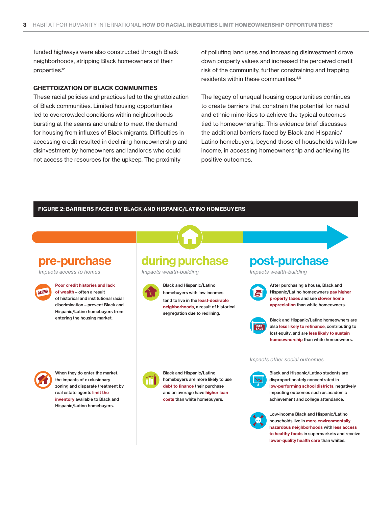funded highways were also constructed through Black neighborhoods, stripping Black homeowners of their properties.<sup>12</sup>

### GHETTOIZATION OF BLACK COMMUNITIES

These racial policies and practices led to the ghettoization of Black communities. Limited housing opportunities led to overcrowded conditions within neighborhoods bursting at the seams and unable to meet the demand for housing from influxes of Black migrants. Difficulties in accessing credit resulted in declining homeownership and disinvestment by homeowners and landlords who could not access the resources for the upkeep. The proximity

of polluting land uses and increasing disinvestment drove down property values and increased the perceived credit risk of the community, further constraining and trapping residents within these communities.4,6

The legacy of unequal housing opportunities continues to create barriers that constrain the potential for racial and ethnic minorities to achieve the typical outcomes tied to homeownership. This evidence brief discusses the additional barriers faced by Black and Hispanic/ Latino homebuyers, beyond those of households with low income, in accessing homeownership and achieving its positive outcomes.

#### FIGURE 2: BARRIERS FACED BY BLACK AND HISPANIC/LATINO HOMEBUYERS

### pre-purchase

Impacts access to homes



### Poor credit histories and lack

of wealth – often a result of historical and institutional racial discrimination – prevent Black and Hispanic/Latino homebuyers from entering the housing market.

## during purchase

Impacts wealth-building



Black and Hispanic/Latino homebuyers with low incomes tend to live in the least-desirable neighborhoods, a result of historical segregation due to redlining.

### post-purchase

Impacts wealth-building



After purchasing a house, Black and Hispanic/Latino homeowners pay higher property taxes and see slower home appreciation than white homeowners.



Black and Hispanic/Latino homeowners are also less likely to refinance, contributing to lost equity, and are less likely to sustain homeownership than white homeowners.

When they do enter the market, the impacts of exclusionary zoning and disparate treatment by real estate agents limit the inventory available to Black and Hispanic/Latino homebuyers.



Black and Hispanic/Latino homebuyers are more likely to use debt to finance their purchase and on average have higher loan costs than white homebuyers.



Impacts other social outcomes

achievement and college attendance.



Low-income Black and Hispanic/Latino households live in more environmentally hazardous neighborhoods with less access to healthy foods in supermarkets and receive lower-quality health care than whites.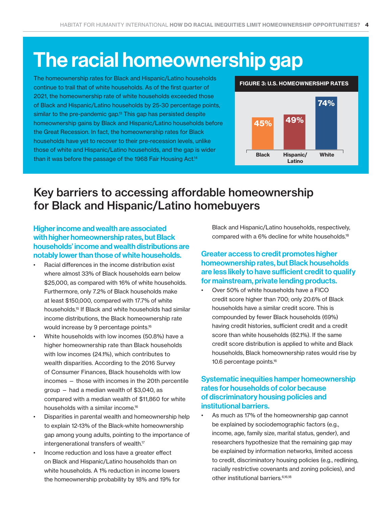# The racial homeownership gap

The homeownership rates for Black and Hispanic/Latino households continue to trail that of white households. As of the first quarter of 2021, the homeownership rate of white households exceeded those of Black and Hispanic/Latino households by 25-30 percentage points, similar to the pre-pandemic gap.<sup>13</sup> This gap has persisted despite homeownership gains by Black and Hispanic/Latino households before the Great Recession. In fact, the homeownership rates for Black households have yet to recover to their pre-recession levels, unlike those of white and Hispanic/Latino households, and the gap is wider than it was before the passage of the 1968 Fair Housing Act.<sup>14</sup>



### Key barriers to accessing affordable homeownership for Black and Hispanic/Latino homebuyers

Higher income and wealth are associated with higher homeownership rates, but Black households' income and wealth distributions are notably lower than those of white households.

- Racial differences in the income distribution exist where almost 33% of Black households earn below \$25,000, as compared with 16% of white households. Furthermore, only 7.2% of Black households make at least \$150,000, compared with 17.7% of white households.15 If Black and white households had similar income distributions, the Black homeownership rate would increase by 9 percentage points.16
- White households with low incomes (50.8%) have a higher homeownership rate than Black households with low incomes (24.1%), which contributes to wealth disparities. According to the 2016 Survey of Consumer Finances, Black households with low incomes — those with incomes in the 20th percentile group — had a median wealth of \$3,040, as compared with a median wealth of \$11,860 for white households with a similar income.16
- Disparities in parental wealth and homeownership help to explain 12-13% of the Black-white homeownership gap among young adults, pointing to the importance of intergenerational transfers of wealth.<sup>17</sup>
- Income reduction and loss have a greater effect on Black and Hispanic/Latino households than on white households. A 1% reduction in income lowers the homeownership probability by 18% and 19% for

Black and Hispanic/Latino households, respectively, compared with a 6% decline for white households.<sup>18</sup>

### Greater access to credit promotes higher homeownership rates, but Black households are less likely to have sufficient credit to qualify for mainstream, private lending products.

• Over 50% of white households have a FICO credit score higher than 700; only 20.6% of Black households have a similar credit score. This is compounded by fewer Black households (69%) having credit histories, sufficient credit and a credit score than white households (82.1%). If the same credit score distribution is applied to white and Black households, Black homeownership rates would rise by 10.6 percentage points.16

### Systematic inequities hamper homeownership rates for households of color because of discriminatory housing policies and institutional barriers.

As much as 17% of the homeownership gap cannot be explained by sociodemographic factors (e.g., income, age, family size, marital status, gender), and researchers hypothesize that the remaining gap may be explained by information networks, limited access to credit, discriminatory housing policies (e.g., redlining, racially restrictive covenants and zoning policies), and other institutional barriers.6,16,18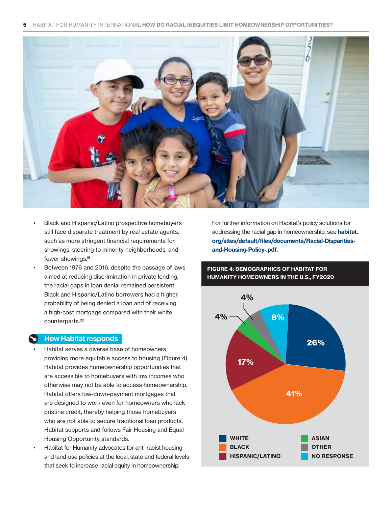

- Black and Hispanic/Latino prospective homebuyers still face disparate treatment by real estate agents, such as more stringent financial requirements for showings, steering to minority neighborhoods, and fewer showings.19
- Between 1976 and 2016, despite the passage of laws aimed at reducing discrimination in private lending, the racial gaps in loan denial remained persistent. Black and Hispanic/Latino borrowers had a higher probability of being denied a loan and of receiving a high-cost mortgage compared with their white counterparts.20

### How Habitat responds

- Habitat serves a diverse base of homeowners, providing more equitable access to housing (Figure 4). Habitat provides homeownership opportunities that are accessible to homebuyers with low incomes who otherwise may not be able to access homeownership. Habitat offers low-down-payment mortgages that are designed to work even for homeowners who lack pristine credit, thereby helping those homebuyers who are not able to secure traditional loan products. Habitat supports and follows Fair Housing and Equal Housing Opportunity standards.
- Habitat for Humanity advocates for anti-racist housing and land-use policies at the local, state and federal levels that seek to increase racial equity in homeownership.

For further information on Habitat's policy solutions for addressing the racial gap in homeownership, see [habitat.](http://habitat.org/sites/default/files/documents/Racial-Disparities-and-Housing-Policy-.pdf) [org/sites/default/files/documents/Racial-Disparities](http://habitat.org/sites/default/files/documents/Racial-Disparities-and-Housing-Policy-.pdf)[and-Housing-Policy-.pdf](http://habitat.org/sites/default/files/documents/Racial-Disparities-and-Housing-Policy-.pdf).

### FIGURE 4: DEMOGRAPHICS OF HABITAT FOR HUMANITY HOMEOWNERS IN THE U.S., FY2020

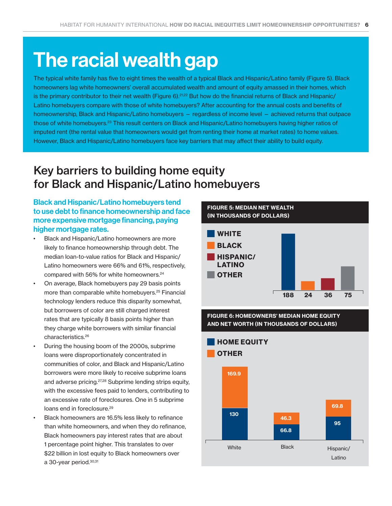# The racial wealth gap

The typical white family has five to eight times the wealth of a typical Black and Hispanic/Latino family (Figure 5). Black homeowners lag white homeowners' overall accumulated wealth and amount of equity amassed in their homes, which is the primary contributor to their net wealth (Figure 6).<sup>21,22</sup> But how do the financial returns of Black and Hispanic/ Latino homebuyers compare with those of white homebuyers? After accounting for the annual costs and benefits of homeownership, Black and Hispanic/Latino homebuyers — regardless of income level — achieved returns that outpace those of white homebuyers.23 This result centers on Black and Hispanic/Latino homebuyers having higher ratios of imputed rent (the rental value that homeowners would get from renting their home at market rates) to home values. However, Black and Hispanic/Latino homebuyers face key barriers that may affect their ability to build equity.

# Key barriers to building home equity for Black and Hispanic/Latino homebuyers

### Black and Hispanic/Latino homebuyers tend to use debt to finance homeownership and face more expensive mortgage financing, paying higher mortgage rates.

- Black and Hispanic/Latino homeowners are more likely to finance homeownership through debt. The median loan-to-value ratios for Black and Hispanic/ Latino homeowners were 66% and 61%, respectively, compared with 56% for white homeowners.<sup>24</sup>
- On average, Black homebuyers pay 29 basis points more than comparable white homebuyers.<sup>25</sup> Financial technology lenders reduce this disparity somewhat, but borrowers of color are still charged interest rates that are typically 8 basis points higher than they charge white borrowers with similar financial characteristics.26
- During the housing boom of the 2000s, subprime loans were disproportionately concentrated in communities of color, and Black and Hispanic/Latino borrowers were more likely to receive subprime loans and adverse pricing.27,28 Subprime lending strips equity, with the excessive fees paid to lenders, contributing to an excessive rate of foreclosures. One in 5 subprime loans end in foreclosure.<sup>29</sup>
- Black homeowners are 16.5% less likely to refinance than white homeowners, and when they do refinance, Black homeowners pay interest rates that are about 1 percentage point higher. This translates to over \$22 billion in lost equity to Black homeowners over a 30-year period.30,31

WEALTH<br>LARS)<br>188 24 36 75<br>S' MEDIAN HOME EQUITY<br>QUEANDS OF DOLLARS) FIGURE 5: MEDIAN NET WEALTH (IN THOUSANDS OF DOLLARS) **WHITE** HISPANIC/ LATINO BLACK **OTHER** 188 24 36 75

FIGURE 6: HOMEOWNERS' MEDIAN HOME EQUITY AND NET WORTH (IN THOUSANDS OF DOLLARS)

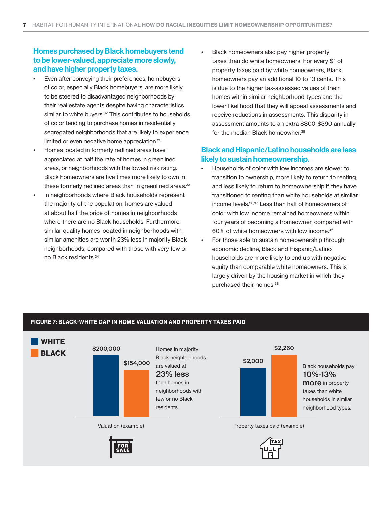### Homes purchased by Black homebuyers tend to be lower-valued, appreciate more slowly, and have higher property taxes.

- Even after conveying their preferences, homebuyers of color, especially Black homebuyers, are more likely to be steered to disadvantaged neighborhoods by their real estate agents despite having characteristics similar to white buyers.<sup>32</sup> This contributes to households of color tending to purchase homes in residentially segregated neighborhoods that are likely to experience limited or even negative home appreciation.<sup>23</sup>
- Homes located in formerly redlined areas have appreciated at half the rate of homes in greenlined areas, or neighborhoods with the lowest risk rating. Black homeowners are five times more likely to own in these formerly redlined areas than in greenlined areas.<sup>33</sup>
- In neighborhoods where Black households represent the majority of the population, homes are valued at about half the price of homes in neighborhoods where there are no Black households. Furthermore, similar quality homes located in neighborhoods with similar amenities are worth 23% less in majority Black neighborhoods, compared with those with very few or no Black residents.34

• Black homeowners also pay higher property taxes than do white homeowners. For every \$1 of property taxes paid by white homeowners, Black homeowners pay an additional 10 to 13 cents. This is due to the higher tax-assessed values of their homes within similar neighborhood types and the lower likelihood that they will appeal assessments and receive reductions in assessments. This disparity in assessment amounts to an extra \$300-\$390 annually for the median Black homeowner.<sup>35</sup>

### Black and Hispanic/Latino households are less likely to sustain homeownership.

- Households of color with low incomes are slower to transition to ownership, more likely to return to renting, and less likely to return to homeownership if they have transitioned to renting than white households at similar income levels.36,37 Less than half of homeowners of color with low income remained homeowners within four years of becoming a homeowner, compared with 60% of white homeowners with low income.36
- For those able to sustain homeownership through economic decline, Black and Hispanic/Latino households are more likely to end up with negative equity than comparable white homeowners. This is largely driven by the housing market in which they purchased their homes.<sup>38</sup>

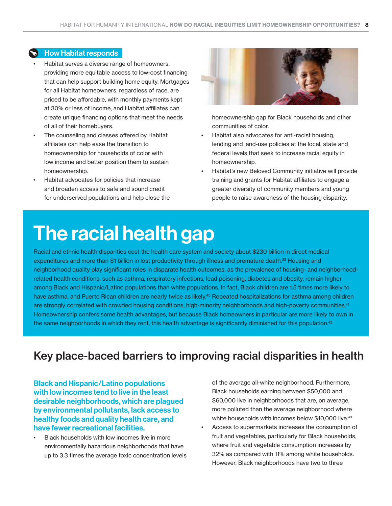### How Habitat responds

- Habitat serves a diverse range of homeowners, providing more equitable access to low-cost financing that can help support building home equity. Mortgages for all Habitat homeowners, regardless of race, are priced to be affordable, with monthly payments kept at 30% or less of income, and Habitat affiliates can create unique financing options that meet the needs of all of their homebuyers.
- The counseling and classes offered by Habitat affiliates can help ease the transition to homeownership for households of color with low income and better position them to sustain homeownership.
- Habitat advocates for policies that increase and broaden access to safe and sound credit for underserved populations and help close the



homeownership gap for Black households and other communities of color.

- Habitat also advocates for anti-racist housing, lending and land-use policies at the local, state and federal levels that seek to increase racial equity in homeownership.
- Habitat's new Beloved Community initiative will provide training and grants for Habitat affiliates to engage a greater diversity of community members and young people to raise awareness of the housing disparity.

# The racial health gap

Racial and ethnic health disparities cost the health care system and society about \$230 billion in direct medical expenditures and more than \$1 billion in lost productivity through illness and premature death.<sup>39</sup> Housing and neighborhood quality play significant roles in disparate health outcomes, as the prevalence of housing- and neighborhoodrelated health conditions, such as asthma, respiratory infections, lead poisoning, diabetes and obesity, remain higher among Black and Hispanic/Latino populations than white populations. In fact, Black children are 1.5 times more likely to have asthma, and Puerto Rican children are nearly twice as likely.<sup>40</sup> Repeated hospitalizations for asthma among children are strongly correlated with crowded housing conditions, high-minority neighborhoods and high-poverty communities.<sup>41</sup> Homeownership confers some health advantages, but because Black homeowners in particular are more likely to own in the same neighborhoods in which they rent, this health advantage is significantly diminished for this population.<sup>42</sup>

### Key place-baced barriers to improving racial disparities in health

Black and Hispanic/Latino populations with low incomes tend to live in the least desirable neighborhoods, which are plagued by environmental pollutants, lack access to healthy foods and quality health care, and have fewer recreational facilities.

Black households with low incomes live in more environmentally hazardous neighborhoods that have up to 3.3 times the average toxic concentration levels of the average all-white neighborhood. Furthermore, Black households earning between \$50,000 and \$60,000 live in neighborhoods that are, on average, more polluted than the average neighborhood where white households with incomes below \$10,000 live.<sup>43</sup>

• Access to supermarkets increases the consumption of fruit and vegetables, particularly for Black households, where fruit and vegetable consumption increases by 32% as compared with 11% among white households. However, Black neighborhoods have two to three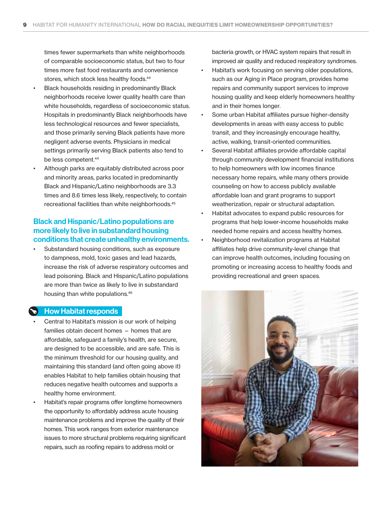times fewer supermarkets than white neighborhoods of comparable socioeconomic status, but two to four times more fast food restaurants and convenience stores, which stock less healthy foods.<sup>44</sup>

- Black households residing in predominantly Black neighborhoods receive lower quality health care than white households, regardless of socioeconomic status. Hospitals in predominantly Black neighborhoods have less technological resources and fewer specialists, and those primarily serving Black patients have more negligent adverse events. Physicians in medical settings primarily serving Black patients also tend to be less competent.<sup>44</sup>
- Although parks are equitably distributed across poor and minority areas, parks located in predominantly Black and Hispanic/Latino neighborhoods are 3.3 times and 8.6 times less likely, respectively, to contain recreational facilities than white neighborhoods.<sup>45</sup>

### Black and Hispanic/Latino populations are more likely to live in substandard housing conditions that create unhealthy environments.

Substandard housing conditions, such as exposure to dampness, mold, toxic gases and lead hazards, increase the risk of adverse respiratory outcomes and lead poisoning. Black and Hispanic/Latino populations are more than twice as likely to live in substandard housing than white populations.46

### How Habitat responds

- Central to Habitat's mission is our work of helping families obtain decent homes — homes that are affordable, safeguard a family's health, are secure, are designed to be accessible, and are safe. This is the minimum threshold for our housing quality, and maintaining this standard (and often going above it) enables Habitat to help families obtain housing that reduces negative health outcomes and supports a healthy home environment.
- Habitat's repair programs offer longtime homeowners the opportunity to affordably address acute housing maintenance problems and improve the quality of their homes. This work ranges from exterior maintenance issues to more structural problems requiring significant repairs, such as roofing repairs to address mold or

bacteria growth, or HVAC system repairs that result in improved air quality and reduced respiratory syndromes.

- Habitat's work focusing on serving older populations, such as our Aging in Place program, provides home repairs and community support services to improve housing quality and keep elderly homeowners healthy and in their homes longer.
- Some urban Habitat affiliates pursue higher-density developments in areas with easy access to public transit, and they increasingly encourage healthy, active, walking, transit-oriented communities.
- Several Habitat affiliates provide affordable capital through community development financial institutions to help homeowners with low incomes finance necessary home repairs, while many others provide counseling on how to access publicly available affordable loan and grant programs to support weatherization, repair or structural adaptation.
- Habitat advocates to expand public resources for programs that help lower-income households make needed home repairs and access healthy homes.
- Neighborhood revitalization programs at Habitat affiliates help drive community-level change that can improve health outcomes, including focusing on promoting or increasing access to healthy foods and providing recreational and green spaces.

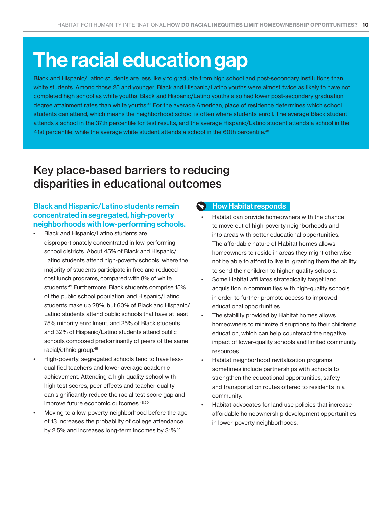# The racial education gap

Black and Hispanic/Latino students are less likely to graduate from high school and post-secondary institutions than white students. Among those 25 and younger, Black and Hispanic/Latino youths were almost twice as likely to have not completed high school as white youths. Black and Hispanic/Latino youths also had lower post-secondary graduation degree attainment rates than white youths.47 For the average American, place of residence determines which school students can attend, which means the neighborhood school is often where students enroll. The average Black student attends a school in the 37th percentile for test results, and the average Hispanic/Latino student attends a school in the 41st percentile, while the average white student attends a school in the 60th percentile.<sup>48</sup>

## Key place-based barriers to reducing disparities in educational outcomes

### Black and Hispanic/Latino students remain concentrated in segregated, high-poverty neighborhoods with low-performing schools.

- Black and Hispanic/Latino students are disproportionately concentrated in low-performing school districts. About 45% of Black and Hispanic/ Latino students attend high-poverty schools, where the majority of students participate in free and reducedcost lunch programs, compared with 8% of white students.49 Furthermore, Black students comprise 15% of the public school population, and Hispanic/Latino students make up 28%, but 60% of Black and Hispanic/ Latino students attend public schools that have at least 75% minority enrollment, and 25% of Black students and 32% of Hispanic/Latino students attend public schools composed predominantly of peers of the same racial/ethnic group.49
- High-poverty, segregated schools tend to have lessqualified teachers and lower average academic achievement. Attending a high-quality school with high test scores, peer effects and teacher quality can significantly reduce the racial test score gap and improve future economic outcomes.<sup>48,50</sup>
- Moving to a low-poverty neighborhood before the age of 13 increases the probability of college attendance by 2.5% and increases long-term incomes by 31%.<sup>51</sup>

### How Habitat responds

- Habitat can provide homeowners with the chance to move out of high-poverty neighborhoods and into areas with better educational opportunities. The affordable nature of Habitat homes allows homeowners to reside in areas they might otherwise not be able to afford to live in, granting them the ability to send their children to higher-quality schools.
- Some Habitat affiliates strategically target land acquisition in communities with high-quality schools in order to further promote access to improved educational opportunities.
- The stability provided by Habitat homes allows homeowners to minimize disruptions to their children's education, which can help counteract the negative impact of lower-quality schools and limited community resources.
- Habitat neighborhood revitalization programs sometimes include partnerships with schools to strengthen the educational opportunities, safety and transportation routes offered to residents in a community.
- Habitat advocates for land use policies that increase affordable homeownership development opportunities in lower-poverty neighborhoods.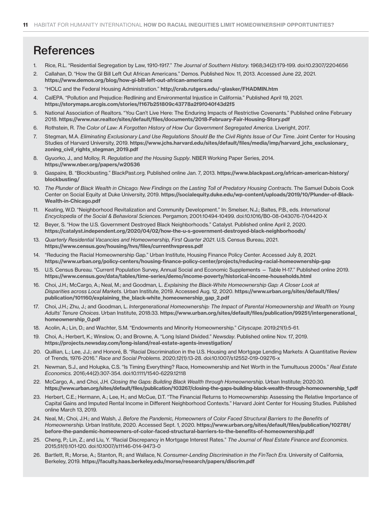# **References**

- 1. Rice, R.L. "Residential Segregation by Law, 1910-1917." *The Journal of Southern History.* 1968;34(2):179-199. doi:10.2307/2204656
- 2. Callahan, D. "How the GI Bill Left Out African Americans." Demos. Published Nov. 11, 2013. Accessed June 22, 2021. <https://www.demos.org/blog/how-gi-bill-left-out-african-americans>
- 3. "HOLC and the Federal Housing Administration." <http://crab.rutgers.edu/~glasker/FHADMIN.htm>
- 4. CalEPA. "Pollution and Prejudice: Redlining and Environmental Injustice in California." Published April 19, 2021. <https://storymaps.arcgis.com/stories/f167b251809c43778a2f9f040f43d2f5>
- 5. National Association of Realtors. "You Can't Live Here: The Enduring Impacts of Restrictive Covenants." Published online February 2018. <https://www.nar.realtor/sites/default/files/documents/2018-February-Fair-Housing-Story.pdf>
- 6. Rothstein, R. *The Color of Law: A Forgotten History of How Our Government Segregated America*. Liveright, 2017.
- 7. Stegman, M.A. *Eliminating Exclusionary Land Use Regulations Should Be the Civil Rights Issue of Our Time*. Joint Center for Housing Studies of Harvard University, 2019. [https://www.jchs.harvard.edu/sites/default/files/media/imp/harvard\\_jchs\\_exclusionary\\_](https://www.jchs.harvard.edu/sites/default/files/media/imp/harvard_jchs_exclusionary_zoning_civil_rights_stegman_2019.pdf) [zoning\\_civil\\_rights\\_stegman\\_2019.pdf](https://www.jchs.harvard.edu/sites/default/files/media/imp/harvard_jchs_exclusionary_zoning_civil_rights_stegman_2019.pdf)
- 8. Gyuorko, J., and Molloy, R. *Regulation and the Housing Supply*. NBER Working Paper Series, 2014. <https://www.nber.org/papers/w20536>
- 9. Gaspaire, B. "Blockbusting." BlackPast.org. Published online Jan. 7, 2013. [https://www.blackpast.org/african-american-history/](https://www.blackpast.org/african-american-history/blockbusting/) [blockbusting/](https://www.blackpast.org/african-american-history/blockbusting/)
- 10. *The Plunder of Black Wealth in Chicago: New Findings on the Lasting Toll of Predatory Housing Contracts*. The Samuel Dubois Cook Center on Social Equity at Duke University, 2019. [https://socialequity.duke.edu/wp-content/uploads/2019/10/Plunder-of-Black-](https://socialequity.duke.edu/wp-content/uploads/2019/10/Plunder-of-Black-Wealth-in-Chicago.pdf)[Wealth-in-Chicago.pdf](https://socialequity.duke.edu/wp-content/uploads/2019/10/Plunder-of-Black-Wealth-in-Chicago.pdf)
- 11. Keating, W.D. "Neighborhood Revitalization and Community Development." In: Smelser, N.J.; Baltes, P.B., eds. *International Encyclopedia of the Social & Behavioral Sciences*. Pergamon; 2001:10494-10499. doi:10.1016/B0-08-043076-7/04420-X
- 12. Beyer, S. "How the U.S. Government Destroyed Black Neighborhoods." Catalyst. Published online April 2, 2020. <https://catalyst.independent.org/2020/04/02/how-the-u-s-government-destroyed-black-neighborhoods/>
- 13. *Quarterly Residential Vacancies and Homeownership, First Quarter 2021*. U.S. Census Bureau, 2021. [https://www.census.gov/housing/hvs/files/currenthvspress.pdf](https://www.census.gov/housing/hvs/files/currenthvspress.pdf )
- 14. "Reducing the Racial Homeownership Gap." Urban Institute, Housing Finance Policy Center. Accessed July 8, 2021. <https://www.urban.org/policy-centers/housing-finance-policy-center/projects/reducing-racial-homeownership-gap>
- 15. U.S. Census Bureau. "Current Population Survey, Annual Social and Economic Supplements Table H-17." Published online 2019. <https://www.census.gov/data/tables/time-series/demo/income-poverty/historical-income-households.html>
- 16. Choi, J.H.; McCargo, A.; Neal, M.; and Goodman, L. *Explaining the Black-White Homeownership Gap: A Closer Look at Disparities across Local Markets*. Urban Institute, 2019. Accessed Aug. 12, 2020. [https://www.urban.org/sites/default/files/](https://www.urban.org/sites/default/files/publication/101160/explaining_the_black-white_homeownership_gap_2.pdf) [publication/101160/explaining\\_the\\_black-white\\_homeownership\\_gap\\_2.pdf](https://www.urban.org/sites/default/files/publication/101160/explaining_the_black-white_homeownership_gap_2.pdf)
- 17. Choi, J.H.; Zhu, J.; and Goodman, L. *Intergenerational Homeownership: The Impact of Parental Homeownership and Wealth on Young Adults' Tenure Choices*. Urban Institute, 2018:33. [https://www.urban.org/sites/default/files/publication/99251/intergenerational\\_](https://www.urban.org/sites/default/files/publication/99251/intergenerational_homeownership_0.pdf) [homeownership\\_0.pdf](https://www.urban.org/sites/default/files/publication/99251/intergenerational_homeownership_0.pdf)
- 18. Acolin, A.; Lin, D.; and Wachter, S.M. "Endowments and Minority Homeownership." *Cityscape*. 2019;21(1):5-61.
- 19. Choi, A.; Herbert, K.; Winslow, O.; and Browne, A. "Long Island Divided." *Newsday*. Published online Nov. 17, 2019. <https://projects.newsday.com/long-island/real-estate-agents-investigation/>
- 20. Quillian, L.; Lee, J.J.; and Honoré, B. "Racial Discrimination in the U.S. Housing and Mortgage Lending Markets: A Quantitative Review of Trends, 1976-2016." *Race and Social Problems*. 2020;12(1):13-28. doi:10.1007/s12552-019-09276-x
- 21. Newman, S.J., and Holupka, C.S. "Is Timing Everything? Race, Homeownership and Net Worth in the Tumultuous 2000s." *Real Estate Economics*. 2016;44(2):307-354. doi:10.1111/1540-6229.12118
- 22. McCargo, A., and Choi, J.H. *Closing the Gaps: Building Black Wealth through Homeownership*. Urban Institute; 2020:30. [https://www.urban.org/sites/default/files/publication/103267/closing-the-gaps-building-black-wealth-through-homeownership\\_1.pdf](https://www.urban.org/sites/default/files/publication/103267/closing-the-gaps-building-black-wealth-through-homeownership_1.pdf)
- 23. Herbert, C.E.; Hermann, A.; Lee, H.; and McCue, D.T. "The Financial Returns to Homeownership: Assessing the Relative Importance of Capital Gains and Imputed Rental Income in Different Neighborhood Contexts." Harvard Joint Center for Housing Studies. Published online March 13, 2019.
- 24. Neal, M.; Choi, J.H.; and Walsh, J. *Before the Pandemic, Homeowners of Color Faced Structural Barriers to the Benefits of Homeownership*. Urban Institute, 2020. Accessed Sept. 1, 2020. [https://www.urban.org/sites/default/files/publication/102781/](https://www.urban.org/sites/default/files/publication/102781/before-the-pandemic-homeowners-of-color-faced-structural-barriers-to-the-benefits-of-homeownership.pdf) [before-the-pandemic-homeowners-of-color-faced-structural-barriers-to-the-benefits-of-homeownership.pdf](https://www.urban.org/sites/default/files/publication/102781/before-the-pandemic-homeowners-of-color-faced-structural-barriers-to-the-benefits-of-homeownership.pdf)
- 25. Cheng, P.; Lin, Z.; and Liu, Y. "Racial Discrepancy in Mortgage Interest Rates." *The Journal of Real Estate Finance and Economics*. 2015;51(1):101-120. doi:10.1007/s11146-014-9473-0
- 26. Bartlett, R.; Morse, A.; Stanton, R.; and Wallace, N. *Consumer-Lending Discrimination in the FinTech Era*. University of California, Berkeley, 2019. <https://faculty.haas.berkeley.edu/morse/research/papers/discrim.pdf>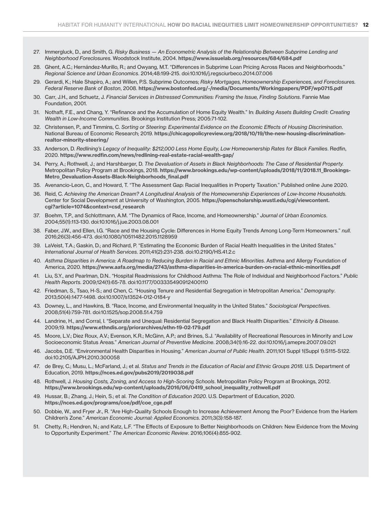- 27. Immergluck, D., and Smith, G. *Risky Business An Econometric Analysis of the Relationship Between Subprime Lending and Neighborhood Foreclosures*. Woodstock Institute, 2004. <https://www.issuelab.org/resources/684/684.pdf>
- 28. Ghent, A.C.; Hernández-Murillo, R.; and Owyang, M.T. "Differences in Subprime Loan Pricing Across Races and Neighborhoods." *Regional Science and Urban Economics*. 2014;48:199-215. doi:10.1016/j.regsciurbeco.2014.07.006
- 29. Gerardi, K.; Hale Shapiro, A.; and Willen, P.S. Subprime Outcomes; *Risky Mortgages, Homeownership Experiences, and Foreclosures. Federal Reserve Bank of Boston*, 2008. <https://www.bostonfed.org/-/media/Documents/Workingpapers/PDF/wp0715.pdf>
- 30. Carr, J.H., and Schuetz, J. *Financial Services in Distressed Communities: Framing the Issue, Finding Solutions*. Fannie Mae Foundation, 2001.
- 31. Nothaft, F.E., and Chang, Y. "Refinance and the Accumulation of Home Equity Wealth." In: *Building Assets Building Credit: Creating Wealth in Low-Income Communities*. Brookings Institution Press; 2005:71-102.
- 32. Christensen, P., and Timmins, C. *Sorting or Steering: Experimental Evidence on the Economic Effects of Housing Discrimination*. National Bureau of Economic Research; 2019. [https://chicagopolicyreview.org/2018/10/19/the-new-housing-discrimination](https://chicagopolicyreview.org/2018/10/19/the-new-housing-discrimination-realtor-minority-steering/)[realtor-minority-steering/](https://chicagopolicyreview.org/2018/10/19/the-new-housing-discrimination-realtor-minority-steering/)
- 33. Anderson, D. *Redlining's Legacy of Inequality: \$212,000 Less Home Equity, Low Homeownership Rates for Black Families*. Redfin, 2020. <https://www.redfin.com/news/redlining-real-estate-racial-wealth-gap/>
- 34. Perry, A.; Rothwell, J.; and Harshbarger, D. *The Devaluation of Assets in Black Neighborhoods: The Case of Residential Property.*  Metropolitan Policy Program at Brookings, 2018. [https://www.brookings.edu/wp-content/uploads/2018/11/2018.11\\_Brookings-](https://www.brookings.edu/wp-content/uploads/2018/11/2018.11_Brookings-Metro_Devaluation-Assets-Black-Neighborhoods_final.pdf)[Metro\\_Devaluation-Assets-Black-Neighborhoods\\_final.pdf](https://www.brookings.edu/wp-content/uploads/2018/11/2018.11_Brookings-Metro_Devaluation-Assets-Black-Neighborhoods_final.pdf)
- 35. Avenancio-Leon, C., and Howard, T. "The Assessment Gap: Racial Inequalities in Property Taxation." Published online June 2020.
- 36. Reid, C. *Achieving the American Dream? A Longitudinal Analysis of the Homeownership Experiences of Low-Income Households*. Center for Social Development at University of Washington, 2005. [https://openscholarship.wustl.edu/cgi/viewcontent.](https://openscholarship.wustl.edu/cgi/viewcontent.cgi?article=1074&context=csd_research) [cgi?article=1074&context=csd\\_research](https://openscholarship.wustl.edu/cgi/viewcontent.cgi?article=1074&context=csd_research)
- 37. Boehm, T.P., and Schlottmann, A.M. "The Dynamics of Race, Income, and Homeownership." *Journal of Urban Economics*. 2004;55(1):113-130. doi:10.1016/j.jue.2003.08.001
- 38. Faber, J.W., and Ellen, I.G. "Race and the Housing Cycle: Differences in Home Equity Trends Among Long-Term Homeowners." *null*. 2016;26(3):456-473. doi:10.1080/10511482.2015.1128959
- 39. LaVeist, T.A.; Gaskin, D.; and Richard, P. "Estimating the Economic Burden of Racial Health Inequalities in the United States." *International Journal of Health Services*. 2011;41(2):231-238. doi:10.2190/HS.41.2.c
- 40. *Asthma Disparities in America: A Roadmap to Reducing Burden in Racial and Ethnic Minorities*. Asthma and Allergy Foundation of America, 2020. <https://www.aafa.org/media/2743/asthma-disparities-in-america-burden-on-racial-ethnic-minorities.pdf>
- 41. Liu, S.Y., and Pearlman, D.N.. "Hospital Readmissions for Childhood Asthma: The Role of Individual and Neighborhood Factors." *Public Health Reports*. 2009;124(1):65-78. doi:10.1177/003335490912400110
- 42. Friedman, S., Tsao, H-S.; and Chen, C. "Housing Tenure and Residential Segregation in Metropolitan America." *Demography*. 2013;50(4):1477-1498. doi:10.1007/s13524-012-0184-y
- 43. Downey, L., and Hawkins, B. "Race, Income, and Environmental Inequality in the United States." *Sociological Perspectives*. 2008;51(4):759-781. doi:10.1525/sop.2008.51.4.759
- 44. Landrine, H., and Corral, I. "Separate and Unequal: Residential Segregation and Black Health Disparities." *Ethnicity & Disease*. 2009;19. <https://www.ethndis.org/priorarchives/ethn-19-02-179.pdf>
- 45. Moore, L.V.; Diez Roux, A.V.; Evenson, K.R.; McGinn, A.P.; and Brines, S.J. "Availability of Recreational Resources in Minority and Low Socioeconomic Status Areas." *American Journal of Preventive Medicine*. 2008;34(1):16-22. doi:10.1016/j.amepre.2007.09.021
- 46. Jacobs, D.E. "Environmental Health Disparities in Housing." *American Journal of Public Health*. 2011;101 Suppl 1(Suppl 1):S115-S122. doi:10.2105/AJPH.2010.300058
- 47. de Brey, C.; Musu, L.; McFarland, J.; et al. *Status and Trends in the Education of Racial and Ethnic Groups 2018*. U.S. Department of Education, 2019. <https://nces.ed.gov/pubs2019/2019038.pdf>
- 48. Rothwell, J*. Housing Costs, Zoning, and Access to High-Scoring Schools*. Metropolitan Policy Program at Brookings, 2012. [https://www.brookings.edu/wp-content/uploads/2016/06/0419\\_school\\_inequality\\_rothwell.pdf](https://www.brookings.edu/wp-content/uploads/2016/06/0419_school_inequality_rothwell.pdf )
- 49. Hussar, B.; Zhang, J.; Hein, S.; et al. *The Condition of Education 2020*. U.S. Department of Education, 2020. [https://nces.ed.gov/programs/coe/pdf/coe\\_cge.pdf](https://nces.ed.gov/programs/coe/pdf/coe_cge.pdf )
- 50. Dobbie, W., and Fryer Jr., R. "Are High-Quality Schools Enough to Increase Achievement Among the Poor? Evidence from the Harlem Children's Zone." *American Economic Journal: Applied Economics*. 2011;3(3):158-187.
- 51. Chetty, R.; Hendren, N.; and Katz, L.F. "The Effects of Exposure to Better Neighborhoods on Children: New Evidence from the Moving to Opportunity Experiment." *The American Economic Review*. 2016;106(4):855-902.